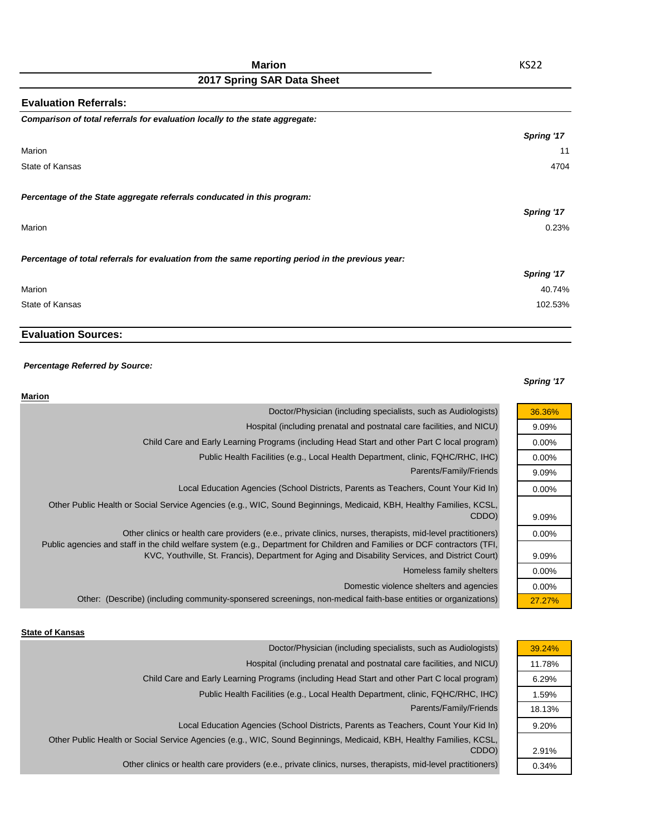| <b>Evaluation Referrals:</b>                                                                      |            |
|---------------------------------------------------------------------------------------------------|------------|
| Comparison of total referrals for evaluation locally to the state aggregate:                      |            |
|                                                                                                   | Spring '17 |
| Marion                                                                                            | 11         |
| State of Kansas                                                                                   | 4704       |
| Percentage of the State aggregate referrals conducated in this program:                           |            |
|                                                                                                   | Spring '17 |
| Marion                                                                                            | 0.23%      |
| Percentage of total referrals for evaluation from the same reporting period in the previous year: |            |
|                                                                                                   | Spring '17 |
| Marion                                                                                            | 40.74%     |
| State of Kansas                                                                                   | 102.53%    |

# **Evaluation Sources:**

### *Percentage Referred by Source:*

### *Spring '17*

| Marion                                                                                                                                                                                                                                    |          |
|-------------------------------------------------------------------------------------------------------------------------------------------------------------------------------------------------------------------------------------------|----------|
| Doctor/Physician (including specialists, such as Audiologists)                                                                                                                                                                            | 36.36%   |
| Hospital (including prenatal and postnatal care facilities, and NICU)                                                                                                                                                                     | 9.09%    |
| Child Care and Early Learning Programs (including Head Start and other Part C local program)                                                                                                                                              | $0.00\%$ |
| Public Health Facilities (e.g., Local Health Department, clinic, FQHC/RHC, IHC)                                                                                                                                                           | $0.00\%$ |
| Parents/Family/Friends                                                                                                                                                                                                                    | 9.09%    |
| Local Education Agencies (School Districts, Parents as Teachers, Count Your Kid In)                                                                                                                                                       | $0.00\%$ |
| Other Public Health or Social Service Agencies (e.g., WIC, Sound Beginnings, Medicaid, KBH, Healthy Families, KCSL,<br>CDDO)                                                                                                              | 9.09%    |
| Other clinics or health care providers (e.e., private clinics, nurses, therapists, mid-level practitioners)<br>Public agencies and staff in the child welfare system (e.g., Department for Children and Families or DCF contractors (TFI, | $0.00\%$ |
| KVC, Youthville, St. Francis), Department for Aging and Disability Services, and District Court)                                                                                                                                          | 9.09%    |
| Homeless family shelters                                                                                                                                                                                                                  | $0.00\%$ |
| Domestic violence shelters and agencies                                                                                                                                                                                                   | $0.00\%$ |
| Other: (Describe) (including community-sponsered screenings, non-medical faith-base entities or organizations)                                                                                                                            | 27.27%   |

#### **State of Kansas**

| Doctor/Physician (including specialists, such as Audiologists)                                                      | 39.24% |
|---------------------------------------------------------------------------------------------------------------------|--------|
| Hospital (including prenatal and postnatal care facilities, and NICU)                                               | 11.78% |
| Child Care and Early Learning Programs (including Head Start and other Part C local program)                        | 6.29%  |
| Public Health Facilities (e.g., Local Health Department, clinic, FQHC/RHC, IHC)                                     | 1.59%  |
| Parents/Family/Friends                                                                                              | 18.13% |
| Local Education Agencies (School Districts, Parents as Teachers, Count Your Kid In)                                 | 9.20%  |
| Other Public Health or Social Service Agencies (e.g., WIC, Sound Beginnings, Medicaid, KBH, Healthy Families, KCSL, |        |
| CDDO)                                                                                                               | 2.91%  |
| Other clinics or health care providers (e.e., private clinics, nurses, therapists, mid-level practitioners)         | 0.34%  |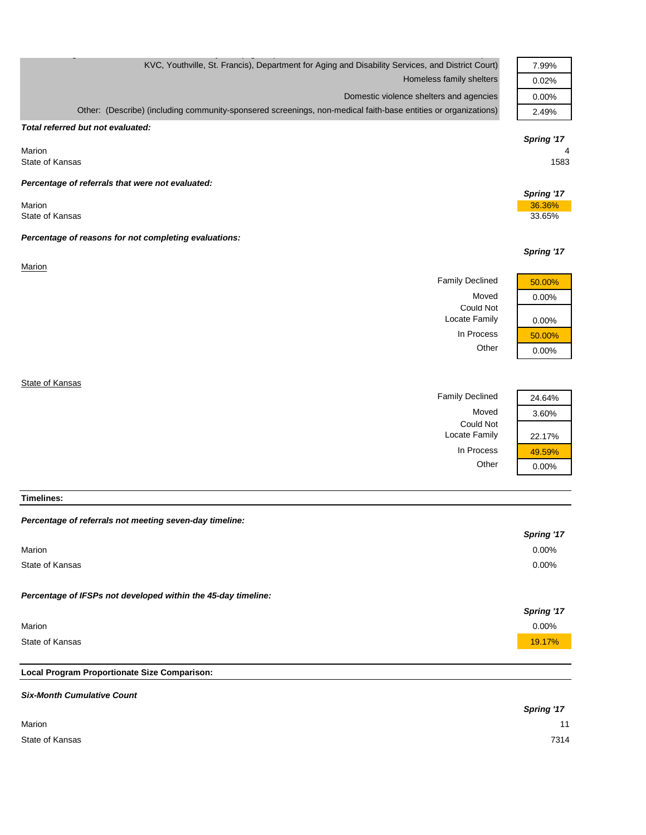| KVC, Youthville, St. Francis), Department for Aging and Disability Services, and District Court)               | 7.99%            |
|----------------------------------------------------------------------------------------------------------------|------------------|
| Homeless family shelters                                                                                       | 0.02%            |
| Domestic violence shelters and agencies                                                                        | 0.00%            |
| Other: (Describe) (including community-sponsered screenings, non-medical faith-base entities or organizations) | 2.49%            |
| Total referred but not evaluated:                                                                              |                  |
|                                                                                                                | Spring '17       |
| Marion                                                                                                         |                  |
| State of Kansas                                                                                                | 1583             |
| Percentage of referrals that were not evaluated:                                                               |                  |
|                                                                                                                | Spring '17       |
| Marion<br>State of Kansas                                                                                      | 36.36%<br>33.65% |
|                                                                                                                |                  |
| Percentage of reasons for not completing evaluations:                                                          |                  |
|                                                                                                                | Spring '17       |
| Marion                                                                                                         |                  |
|                                                                                                                |                  |
| <b>Family Declined</b>                                                                                         | 50.00%           |
| Moved                                                                                                          | 0.00%            |
| <b>Could Not</b>                                                                                               |                  |
| Locate Family                                                                                                  | 0.00%            |
| In Process                                                                                                     | 50.00%           |
| Other                                                                                                          | 0.00%            |
|                                                                                                                |                  |
| State of Kansas                                                                                                |                  |
| <b>Family Declined</b>                                                                                         | 24.64%           |
| Moved                                                                                                          | 3.60%            |
| <b>Could Not</b>                                                                                               |                  |
| Locate Family                                                                                                  | 22.17%           |
| In Process                                                                                                     | 49.59%           |
| Other                                                                                                          | 0.00%            |

**Timelines:**

| Percentage of referrals not meeting seven-day timeline:       |            |
|---------------------------------------------------------------|------------|
|                                                               | Spring '17 |
| Marion                                                        | $0.00\%$   |
| State of Kansas                                               | $0.00\%$   |
|                                                               |            |
| Percentage of IFSPs not developed within the 45-day timeline: |            |
|                                                               | Spring '17 |
| Marion                                                        | $0.00\%$   |
| State of Kansas                                               | 19.17%     |
|                                                               |            |
| Local Program Proportionate Size Comparison:                  |            |

| <b>Six-Month Cumulative Count</b> |            |
|-----------------------------------|------------|
|                                   | Spring '17 |
| Marion                            | 11         |
| State of Kansas                   | 7314       |